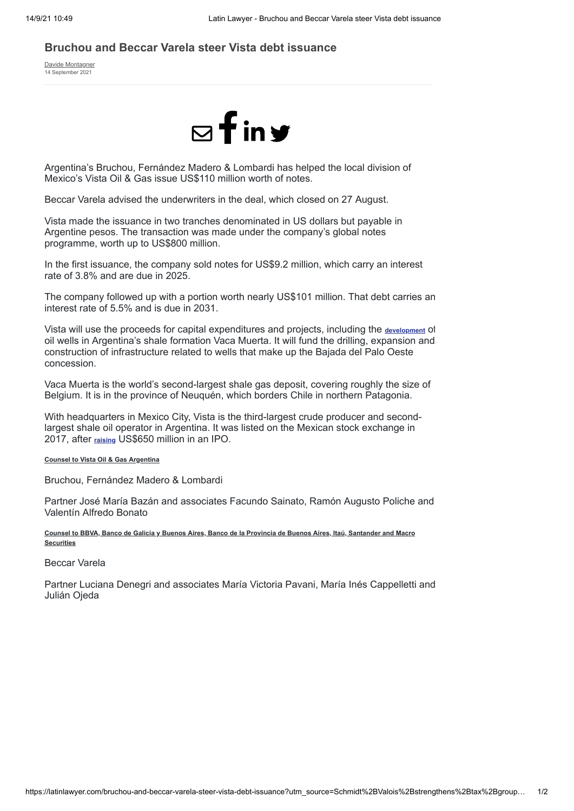## **Bruchou and Beccar Varela steer Vista debt issuance**

[Davide Montagner](https://latinlawyer.com/authors/davide-montagner) 14 September 2021



Argentina's Bruchou, Fernández Madero & Lombardi has helped the local division of Mexico's Vista Oil & Gas issue US\$110 million worth of notes.

Beccar Varela advised the underwriters in the deal, which closed on 27 August.

Vista made the issuance in two tranches denominated in US dollars but payable in Argentine pesos. The transaction was made under the company's global notes programme, worth up to US\$800 million.

In the first issuance, the company sold notes for US\$9.2 million, which carry an interest rate of 3.8% and are due in 2025.

The company followed up with a portion worth nearly US\$101 million. That debt carries an interest rate of 5.5% and is due in 2031.

Vista will use the proceeds for capital expenditures and projects, including the **[development](https://latinlawyer.com/bruchou-and-martinez-de-hoz-steer-vaca-muerta-investment)** of oil wells in Argentina's shale formation Vaca Muerta. It will fund the drilling, expansion and construction of infrastructure related to wells that make up the Bajada del Palo Oeste concession.

Vaca Muerta is the world's second-largest shale gas deposit, covering roughly the size of Belgium. It is in the province of Neuquén, which borders Chile in northern Patagonia.

With headquarters in Mexico City, Vista is the third-largest crude producer and secondlargest shale oil operator in Argentina. It was listed on the Mexican stock exchange in 2017, after **[raising](https://latinlawyer.com/initial-public-offerings/vista-makes-landmark-us650-million-ipo-in-mexico)** US\$650 million in an IPO.

## **Counsel to Vista Oil & Gas Argentina**

Bruchou, Fernández Madero & Lombardi

Partner José María Bazán and associates Facundo Sainato, Ramón Augusto Poliche and Valentín Alfredo Bonato

**Counsel to BBVA, Banco de Galicia y Buenos Aires, Banco de la Provincia de Buenos Aires, Itaú, Santander and Macro Securities**

Beccar Varela

Partner Luciana Denegri and associates María Victoria Pavani, María Inés Cappelletti and Julián Ojeda